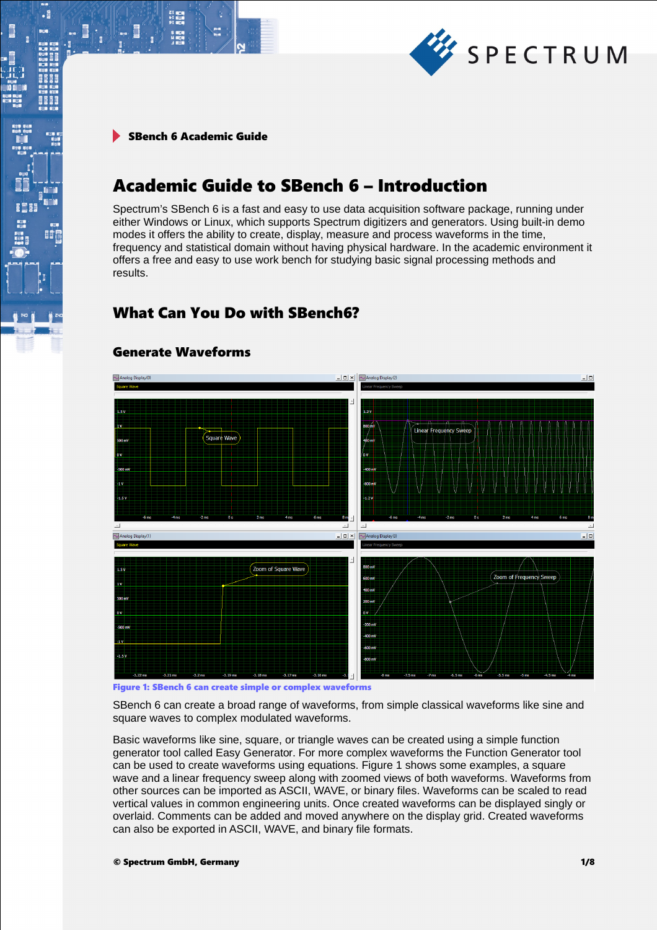

 $\begin{array}{ll} 21 & \text{min} \\ 1 & \text{min} \\ 1 & \text{min} \\ 10 & \text{min} \end{array}$ 

 $\cdot$ 

8661

瞪

# Academic Guide to SBench 6 – Introduction

Spectrum's SBench 6 is a fast and easy to use data acquisition software package, running under either Windows or Linux, which supports Spectrum digitizers and generators. Using built-in demo modes it offers the ability to create, display, measure and process waveforms in the time, frequency and statistical domain without having physical hardware. In the academic environment it offers a free and easy to use work bench for studying basic signal processing methods and results.

# What Can You Do with SBench6?



## Generate Waveforms

Figure 1: SBench 6 can create simple or complex waveforms

SBench 6 can create a broad range of waveforms, from simple classical waveforms like sine and square waves to complex modulated waveforms.

Basic waveforms like sine, square, or triangle waves can be created using a simple function generator tool called Easy Generator. For more complex waveforms the Function Generator tool can be used to create waveforms using equations. Figure 1 shows some examples, a square wave and a linear frequency sweep along with zoomed views of both waveforms. Waveforms from other sources can be imported as ASCII, WAVE, or binary files. Waveforms can be scaled to read vertical values in common engineering units. Once created waveforms can be displayed singly or overlaid. Comments can be added and moved anywhere on the display grid. Created waveforms can also be exported in ASCII, WAVE, and binary file formats.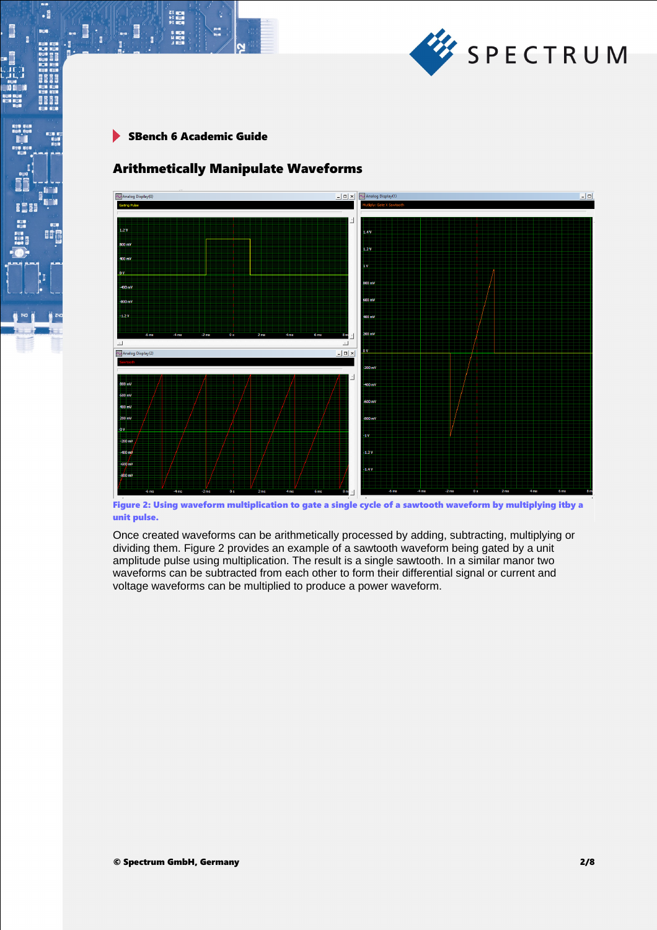

 $\begin{array}{l} \text{Z} \parallel \text{R} \parallel \text{R} \parallel \text{R} \parallel \text{R} \parallel \text{R} \parallel \text{R} \parallel \text{R} \parallel \text{R} \parallel \text{R} \parallel \text{R} \parallel \text{R} \parallel \text{R} \parallel \text{R} \parallel \text{R} \parallel \text{R} \parallel \text{R} \parallel \text{R} \parallel \text{R} \parallel \text{R} \parallel \text{R} \parallel \text{R} \parallel \text{R} \parallel \text{R} \parallel \text{R} \parallel \text{R} \parallel \text{R} \parallel \text{R} \parallel \text{R} \parallel \text{R} \parallel \text{$ 

S MEN<br>H MEN

 $\cdot$ 

8661

**II** 

I

# Arithmetically Manipulate Waveforms



Figure 2: Using waveform multiplication to gate a single cycle of a sawtooth waveform by multiplying itby a unit pulse.

Once created waveforms can be arithmetically processed by adding, subtracting, multiplying or dividing them. Figure 2 provides an example of a sawtooth waveform being gated by a unit amplitude pulse using multiplication. The result is a single sawtooth. In a similar manor two waveforms can be subtracted from each other to form their differential signal or current and voltage waveforms can be multiplied to produce a power waveform.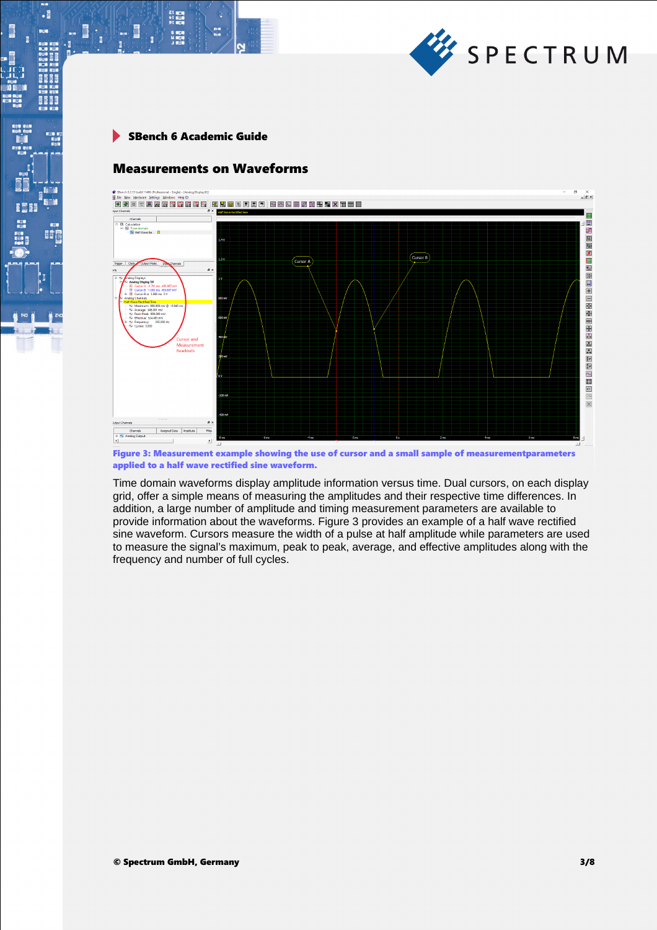

 $\begin{array}{l} \text{Z} \parallel \text{R} \parallel \text{R} \parallel \text{R} \parallel \text{R} \parallel \text{R} \parallel \text{R} \parallel \text{R} \parallel \text{R} \parallel \text{R} \parallel \text{R} \parallel \text{R} \parallel \text{R} \parallel \text{R} \parallel \text{R} \parallel \text{R} \parallel \text{R} \parallel \text{R} \parallel \text{R} \parallel \text{R} \parallel \text{R} \parallel \text{R} \parallel \text{R} \parallel \text{R} \parallel \text{R} \parallel \text{R} \parallel \text{R} \parallel \text{R} \parallel \text{R} \parallel \text{R} \parallel \text{$ 

S MEN<br>H MEN

 $\cdot$ 

8661

BÔ

I

# Measurements on Waveforms



Figure 3: Measurement example showing the use of cursor and a small sample of measurementparameters applied to a half wave rectified sine waveform.

Time domain waveforms display amplitude information versus time. Dual cursors, on each display grid, offer a simple means of measuring the amplitudes and their respective time differences. In addition, a large number of amplitude and timing measurement parameters are available to provide information about the waveforms. Figure 3 provides an example of a half wave rectified sine waveform. Cursors measure the width of a pulse at half amplitude while parameters are used to measure the signal's maximum, peak to peak, average, and effective amplitudes along with the frequency and number of full cycles.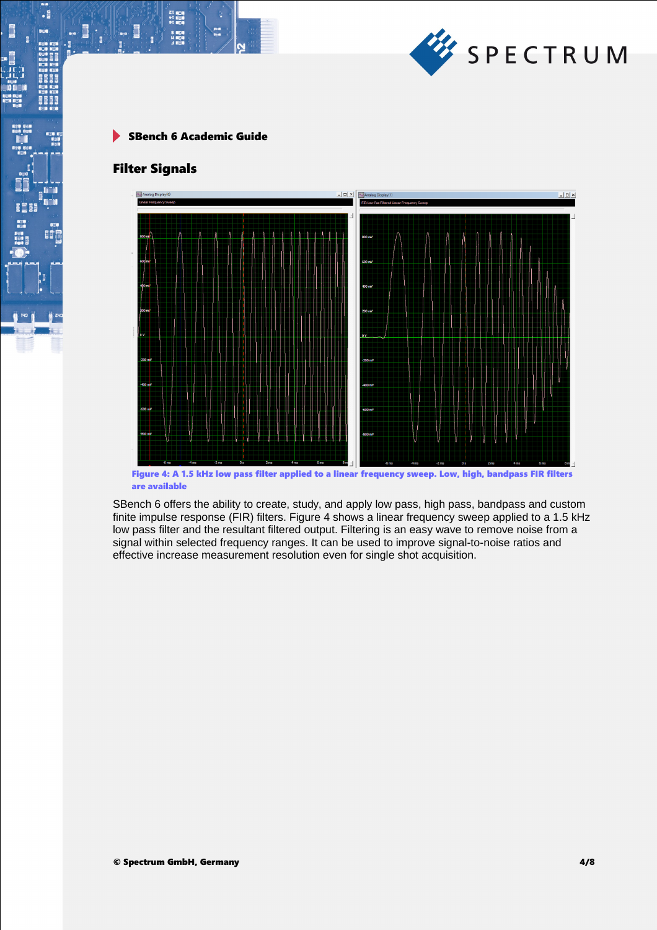

 $\begin{array}{l} \text{Z} \parallel \text{R} \parallel \text{R} \parallel \text{R} \parallel \text{R} \parallel \text{R} \parallel \text{R} \parallel \text{R} \parallel \text{R} \parallel \text{R} \parallel \text{R} \parallel \text{R} \parallel \text{R} \parallel \text{R} \parallel \text{R} \parallel \text{R} \parallel \text{R} \parallel \text{R} \parallel \text{R} \parallel \text{R} \parallel \text{R} \parallel \text{R} \parallel \text{R} \parallel \text{R} \parallel \text{R} \parallel \text{R} \parallel \text{R} \parallel \text{R} \parallel \text{R} \parallel \text{R} \parallel \text{$ 

S MEN<br>H MEN

### Filter Signals

 $\cdot$ 

I

EÔ



Figure 4: A 1.5 kHz low pass filter applied to a linear frequency sweep. Low, high, bandpass FIR filters are available

SBench 6 offers the ability to create, study, and apply low pass, high pass, bandpass and custom finite impulse response (FIR) filters. Figure 4 shows a linear frequency sweep applied to a 1.5 kHz low pass filter and the resultant filtered output. Filtering is an easy wave to remove noise from a signal within selected frequency ranges. It can be used to improve signal-to-noise ratios and effective increase measurement resolution even for single shot acquisition.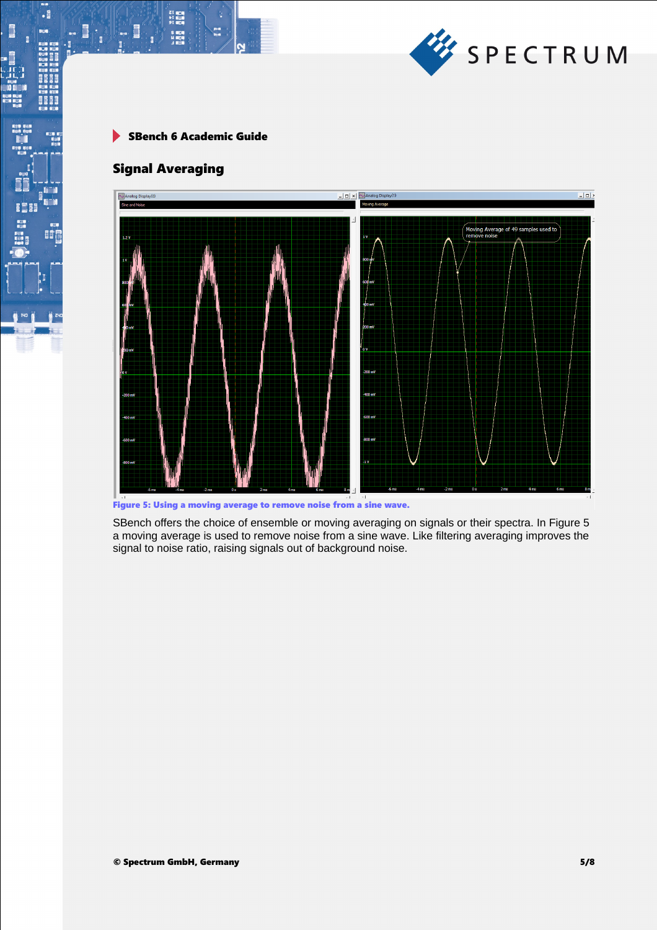

SBench 6 Academic Guide  $\blacktriangleright$ 

# Signal Averaging

s<br>Hiera

Ē

 $\cdot$ 

I

瞳



Figure 5: Using a moving average to remove noise from a sine wave.

SBench offers the choice of ensemble or moving averaging on signals or their spectra. In Figure 5 a moving average is used to remove noise from a sine wave. Like filtering averaging improves the signal to noise ratio, raising signals out of background noise.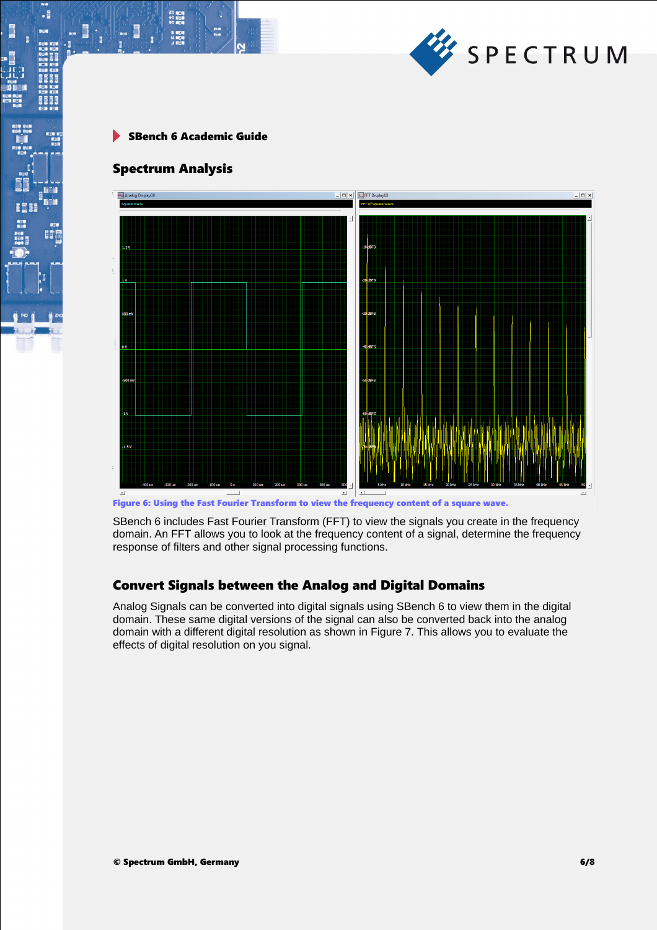

#### Spectrum Analysis

21 mgm<br>41 mgm<br>91 mgm

 $\cdot$ 

EÔ



Figure 6: Using the Fast Fourier Transform to view the frequency content of a square wave.

SBench 6 includes Fast Fourier Transform (FFT) to view the signals you create in the frequency domain. An FFT allows you to look at the frequency content of a signal, determine the frequency response of filters and other signal processing functions.

## Convert Signals between the Analog and Digital Domains

Analog Signals can be converted into digital signals using SBench 6 to view them in the digital domain. These same digital versions of the signal can also be converted back into the analog domain with a different digital resolution as shown in Figure 7. This allows you to evaluate the effects of digital resolution on you signal.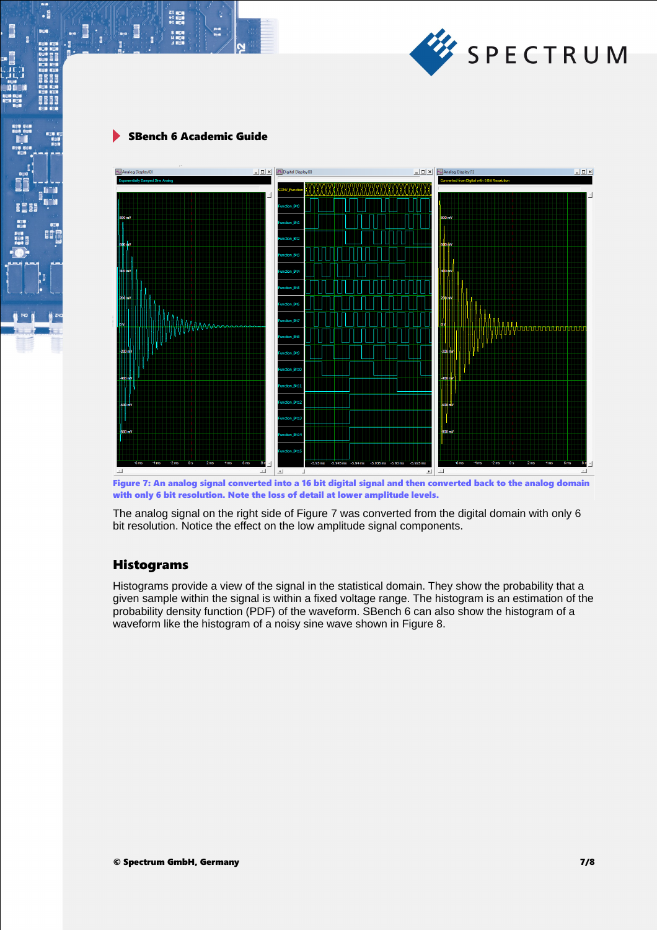

21 mgm<br>51 mgm<br>91 mgm

.

間



Figure 7: An analog signal converted into a 16 bit digital signal and then converted back to the analog domain with only 6 bit resolution. Note the loss of detail at lower amplitude levels.

The analog signal on the right side of Figure 7 was converted from the digital domain with only 6 bit resolution. Notice the effect on the low amplitude signal components.

#### Histograms

Histograms provide a view of the signal in the statistical domain. They show the probability that a given sample within the signal is within a fixed voltage range. The histogram is an estimation of the probability density function (PDF) of the waveform. SBench 6 can also show the histogram of a waveform like the histogram of a noisy sine wave shown in Figure 8.